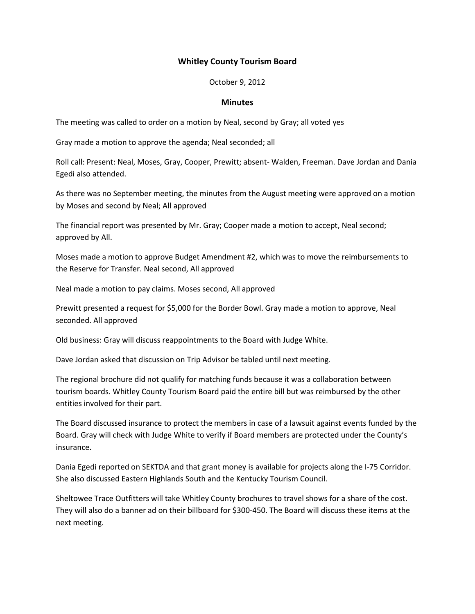## Whitley County Tourism Board

October 9, 2012

## **Minutes**

The meeting was called to order on a motion by Neal, second by Gray; all voted yes

Gray made a motion to approve the agenda; Neal seconded; all

Roll call: Present: Neal, Moses, Gray, Cooper, Prewitt; absent- Walden, Freeman. Dave Jordan and Dania Egedi also attended.

As there was no September meeting, the minutes from the August meeting were approved on a motion by Moses and second by Neal; All approved

The financial report was presented by Mr. Gray; Cooper made a motion to accept, Neal second; approved by All.

Moses made a motion to approve Budget Amendment #2, which was to move the reimbursements to the Reserve for Transfer. Neal second, All approved

Neal made a motion to pay claims. Moses second, All approved

Prewitt presented a request for \$5,000 for the Border Bowl. Gray made a motion to approve, Neal seconded. All approved

Old business: Gray will discuss reappointments to the Board with Judge White.

Dave Jordan asked that discussion on Trip Advisor be tabled until next meeting.

The regional brochure did not qualify for matching funds because it was a collaboration between tourism boards. Whitley County Tourism Board paid the entire bill but was reimbursed by the other entities involved for their part.

The Board discussed insurance to protect the members in case of a lawsuit against events funded by the Board. Gray will check with Judge White to verify if Board members are protected under the County's insurance.

Dania Egedi reported on SEKTDA and that grant money is available for projects along the I-75 Corridor. She also discussed Eastern Highlands South and the Kentucky Tourism Council.

Sheltowee Trace Outfitters will take Whitley County brochures to travel shows for a share of the cost. They will also do a banner ad on their billboard for \$300-450. The Board will discuss these items at the next meeting.